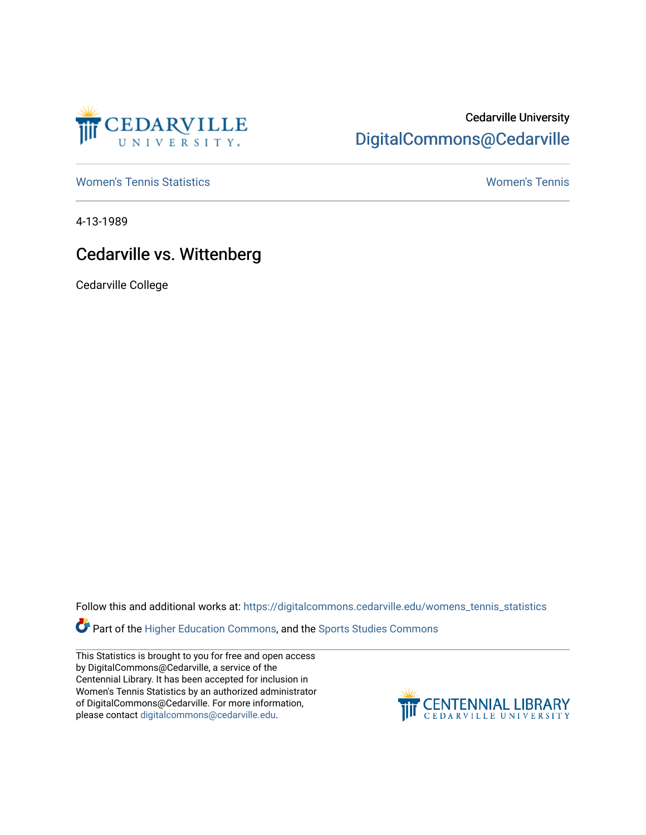

## Cedarville University [DigitalCommons@Cedarville](https://digitalcommons.cedarville.edu/)

[Women's Tennis Statistics](https://digitalcommons.cedarville.edu/womens_tennis_statistics) [Women's Tennis](https://digitalcommons.cedarville.edu/womens_tennis) 

4-13-1989

## Cedarville vs. Wittenberg

Cedarville College

Follow this and additional works at: [https://digitalcommons.cedarville.edu/womens\\_tennis\\_statistics](https://digitalcommons.cedarville.edu/womens_tennis_statistics?utm_source=digitalcommons.cedarville.edu%2Fwomens_tennis_statistics%2F101&utm_medium=PDF&utm_campaign=PDFCoverPages) 

Part of the [Higher Education Commons,](http://network.bepress.com/hgg/discipline/1245?utm_source=digitalcommons.cedarville.edu%2Fwomens_tennis_statistics%2F101&utm_medium=PDF&utm_campaign=PDFCoverPages) and the Sports Studies Commons

This Statistics is brought to you for free and open access by DigitalCommons@Cedarville, a service of the Centennial Library. It has been accepted for inclusion in Women's Tennis Statistics by an authorized administrator of DigitalCommons@Cedarville. For more information, please contact [digitalcommons@cedarville.edu](mailto:digitalcommons@cedarville.edu).